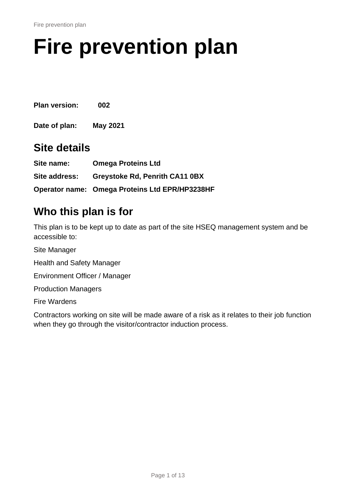# <span id="page-0-0"></span>**Fire prevention plan**

<span id="page-0-1"></span>**Plan version: 002**

**Date of plan: May 2021**

### **Site details**

| Site name:    | <b>Omega Proteins Ltd</b>                      |
|---------------|------------------------------------------------|
| Site address: | <b>Greystoke Rd, Penrith CA11 0BX</b>          |
|               | Operator name: Omega Proteins Ltd EPR/HP3238HF |

## **Who this plan is for**

This plan is to be kept up to date as part of the site HSEQ management system and be accessible to:

Site Manager Health and Safety Manager Environment Officer / Manager Production Managers Fire Wardens

Contractors working on site will be made aware of a risk as it relates to their job function when they go through the visitor/contractor induction process.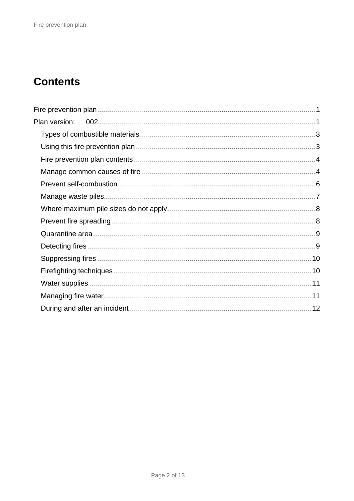# **Contents**

| Plan version: |  |
|---------------|--|
|               |  |
|               |  |
|               |  |
|               |  |
|               |  |
|               |  |
|               |  |
|               |  |
|               |  |
|               |  |
|               |  |
|               |  |
|               |  |
|               |  |
|               |  |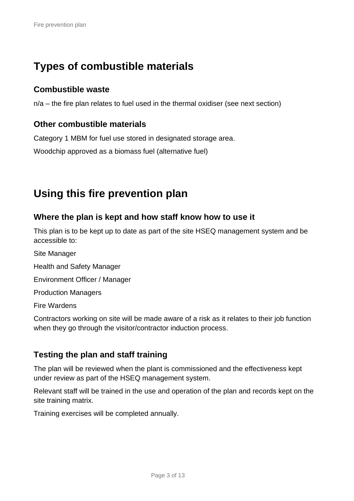# <span id="page-2-0"></span>**Types of combustible materials**

#### **Combustible waste**

n/a – the fire plan relates to fuel used in the thermal oxidiser (see next section)

#### **Other combustible materials**

Category 1 MBM for fuel use stored in designated storage area.

Woodchip approved as a biomass fuel (alternative fuel)

# <span id="page-2-1"></span>**Using this fire prevention plan**

#### **Where the plan is kept and how staff know how to use it**

This plan is to be kept up to date as part of the site HSEQ management system and be accessible to:

Site Manager Health and Safety Manager Environment Officer / Manager Production Managers Fire Wardens

Contractors working on site will be made aware of a risk as it relates to their job function when they go through the visitor/contractor induction process.

#### **Testing the plan and staff training**

The plan will be reviewed when the plant is commissioned and the effectiveness kept under review as part of the HSEQ management system.

Relevant staff will be trained in the use and operation of the plan and records kept on the site training matrix.

Training exercises will be completed annually.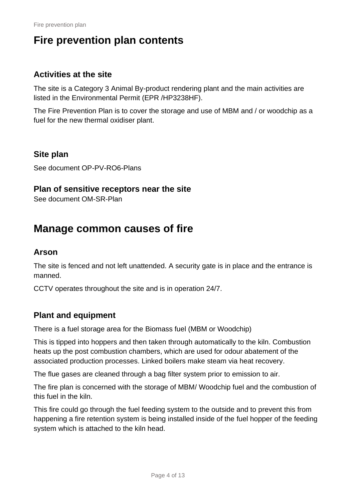# <span id="page-3-0"></span>**Fire prevention plan contents**

#### **Activities at the site**

The site is a Category 3 Animal By-product rendering plant and the main activities are listed in the Environmental Permit (EPR /HP3238HF).

The Fire Prevention Plan is to cover the storage and use of MBM and / or woodchip as a fuel for the new thermal oxidiser plant.

#### **Site plan**

See document OP-PV-RO6-Plans

#### **Plan of sensitive receptors near the site**

<span id="page-3-1"></span>See document OM-SR-Plan

## **Manage common causes of fire**

#### **Arson**

The site is fenced and not left unattended. A security gate is in place and the entrance is manned.

CCTV operates throughout the site and is in operation 24/7.

#### **Plant and equipment**

There is a fuel storage area for the Biomass fuel (MBM or Woodchip)

This is tipped into hoppers and then taken through automatically to the kiln. Combustion heats up the post combustion chambers, which are used for odour abatement of the associated production processes. Linked boilers make steam via heat recovery.

The flue gases are cleaned through a bag filter system prior to emission to air.

The fire plan is concerned with the storage of MBM/ Woodchip fuel and the combustion of this fuel in the kiln.

This fire could go through the fuel feeding system to the outside and to prevent this from happening a fire retention system is being installed inside of the fuel hopper of the feeding system which is attached to the kiln head.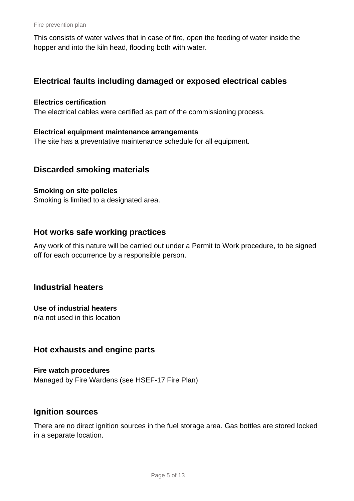Fire prevention plan

This consists of water valves that in case of fire, open the feeding of water inside the hopper and into the kiln head, flooding both with water.

#### **Electrical faults including damaged or exposed electrical cables**

#### **Electrics certification**

The electrical cables were certified as part of the commissioning process.

#### **Electrical equipment maintenance arrangements**

The site has a preventative maintenance schedule for all equipment.

#### **Discarded smoking materials**

#### **Smoking on site policies**

Smoking is limited to a designated area.

#### **Hot works safe working practices**

Any work of this nature will be carried out under a Permit to Work procedure, to be signed off for each occurrence by a responsible person.

#### **Industrial heaters**

#### **Use of industrial heaters**

n/a not used in this location

#### **Hot exhausts and engine parts**

**Fire watch procedures** Managed by Fire Wardens (see HSEF-17 Fire Plan)

#### **Ignition sources**

There are no direct ignition sources in the fuel storage area. Gas bottles are stored locked in a separate location.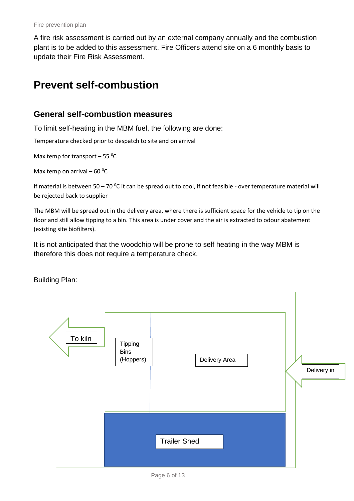A fire risk assessment is carried out by an external company annually and the combustion plant is to be added to this assessment. Fire Officers attend site on a 6 monthly basis to update their Fire Risk Assessment.

# <span id="page-5-0"></span>**Prevent self-combustion**

#### **General self-combustion measures**

To limit self-heating in the MBM fuel, the following are done:

Temperature checked prior to despatch to site and on arrival

Max temp for transport  $-55$  <sup>o</sup>C

Max temp on arrival – 60 $\mathrm{^0C}$ 

If material is between 50 – 70 °C it can be spread out to cool, if not feasible - over temperature material will be rejected back to supplier

The MBM will be spread out in the delivery area, where there is sufficient space for the vehicle to tip on the floor and still allow tipping to a bin. This area is under cover and the air is extracted to odour abatement (existing site biofilters).

It is not anticipated that the woodchip will be prone to self heating in the way MBM is therefore this does not require a temperature check.

Building Plan:



Page 6 of 13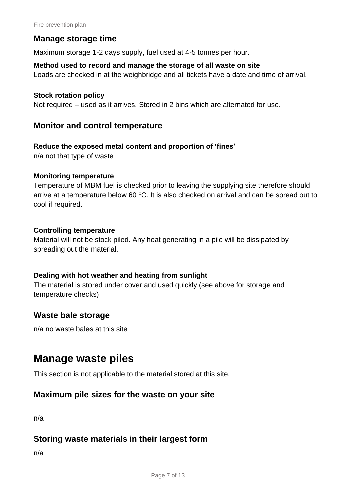#### **Manage storage time**

Maximum storage 1-2 days supply, fuel used at 4-5 tonnes per hour.

#### **Method used to record and manage the storage of all waste on site**

Loads are checked in at the weighbridge and all tickets have a date and time of arrival.

#### **Stock rotation policy**

Not required – used as it arrives. Stored in 2 bins which are alternated for use.

#### **Monitor and control temperature**

#### **Reduce the exposed metal content and proportion of 'fines'**

n/a not that type of waste

#### **Monitoring temperature**

Temperature of MBM fuel is checked prior to leaving the supplying site therefore should arrive at a temperature below 60 $\degree$ C. It is also checked on arrival and can be spread out to cool if required.

#### **Controlling temperature**

Material will not be stock piled. Any heat generating in a pile will be dissipated by spreading out the material.

#### **Dealing with hot weather and heating from sunlight**

The material is stored under cover and used quickly (see above for storage and temperature checks)

#### **Waste bale storage**

<span id="page-6-0"></span>n/a no waste bales at this site

### **Manage waste piles**

This section is not applicable to the material stored at this site.

#### **Maximum pile sizes for the waste on your site**

n/a

#### **Storing waste materials in their largest form**

n/a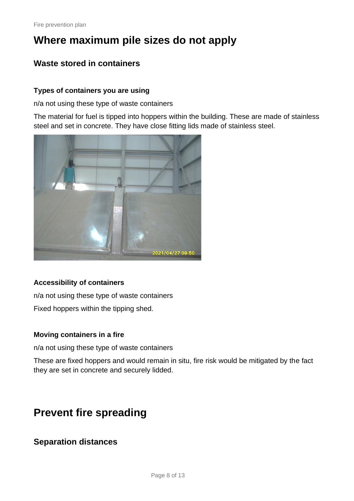# <span id="page-7-0"></span>**Where maximum pile sizes do not apply**

#### **Waste stored in containers**

#### **Types of containers you are using**

n/a not using these type of waste containers

The material for fuel is tipped into hoppers within the building. These are made of stainless steel and set in concrete. They have close fitting lids made of stainless steel.



#### **Accessibility of containers**

n/a not using these type of waste containers Fixed hoppers within the tipping shed.

#### **Moving containers in a fire**

n/a not using these type of waste containers

These are fixed hoppers and would remain in situ, fire risk would be mitigated by the fact they are set in concrete and securely lidded.

# <span id="page-7-1"></span>**Prevent fire spreading**

#### **Separation distances**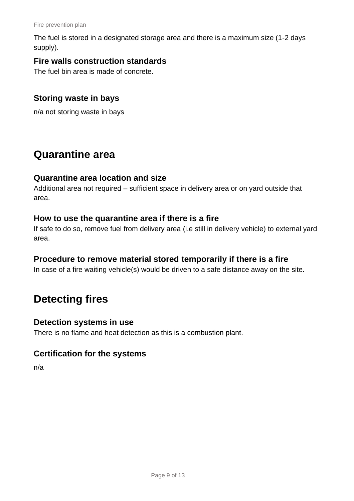The fuel is stored in a designated storage area and there is a maximum size (1-2 days supply).

#### **Fire walls construction standards**

The fuel bin area is made of concrete.

#### **Storing waste in bays**

n/a not storing waste in bays

### <span id="page-8-0"></span>**Quarantine area**

#### **Quarantine area location and size**

Additional area not required – sufficient space in delivery area or on yard outside that area.

#### **How to use the quarantine area if there is a fire**

If safe to do so, remove fuel from delivery area (i.e still in delivery vehicle) to external yard area.

#### **Procedure to remove material stored temporarily if there is a fire**

<span id="page-8-1"></span>In case of a fire waiting vehicle(s) would be driven to a safe distance away on the site.

# **Detecting fires**

#### **Detection systems in use**

There is no flame and heat detection as this is a combustion plant.

#### **Certification for the systems**

n/a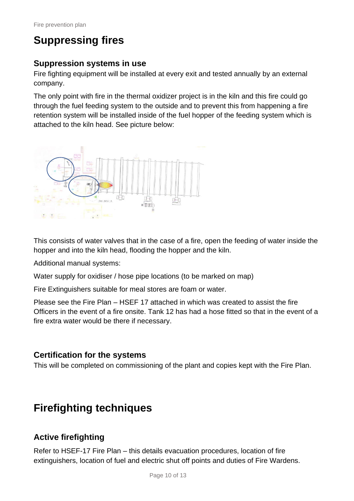# <span id="page-9-0"></span>**Suppressing fires**

#### **Suppression systems in use**

Fire fighting equipment will be installed at every exit and tested annually by an external company.

The only point with fire in the thermal oxidizer project is in the kiln and this fire could go through the fuel feeding system to the outside and to prevent this from happening a fire retention system will be installed inside of the fuel hopper of the feeding system which is attached to the kiln head. See picture below:



This consists of water valves that in the case of a fire, open the feeding of water inside the hopper and into the kiln head, flooding the hopper and the kiln.

Additional manual systems:

Water supply for oxidiser / hose pipe locations (to be marked on map)

Fire Extinguishers suitable for meal stores are foam or water.

Please see the Fire Plan – HSEF 17 attached in which was created to assist the fire Officers in the event of a fire onsite. Tank 12 has had a hose fitted so that in the event of a fire extra water would be there if necessary.

#### **Certification for the systems**

This will be completed on commissioning of the plant and copies kept with the Fire Plan.

# <span id="page-9-1"></span>**Firefighting techniques**

#### **Active firefighting**

Refer to HSEF-17 Fire Plan – this details evacuation procedures, location of fire extinguishers, location of fuel and electric shut off points and duties of Fire Wardens.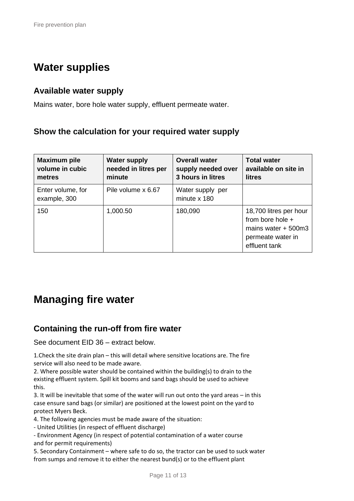# <span id="page-10-0"></span>**Water supplies**

#### **Available water supply**

Mains water, bore hole water supply, effluent permeate water.

#### **Show the calculation for your required water supply**

| <b>Maximum pile</b><br>volume in cubic<br>metres | <b>Water supply</b><br>needed in litres per<br>minute | <b>Overall water</b><br>supply needed over<br>3 hours in litres | <b>Total water</b><br>available on site in<br>litres                                                       |
|--------------------------------------------------|-------------------------------------------------------|-----------------------------------------------------------------|------------------------------------------------------------------------------------------------------------|
| Enter volume, for<br>example, 300                | Pile volume x 6.67                                    | Water supply per<br>minute x 180                                |                                                                                                            |
| 150                                              | 1,000.50                                              | 180,090                                                         | 18,700 litres per hour<br>from bore hole $+$<br>mains water $+500m3$<br>permeate water in<br>effluent tank |

### <span id="page-10-1"></span>**Managing fire water**

#### **Containing the run-off from fire water**

See document EID 36 – extract below.

1.Check the site drain plan – this will detail where sensitive locations are. The fire service will also need to be made aware.

2. Where possible water should be contained within the building(s) to drain to the existing effluent system. Spill kit booms and sand bags should be used to achieve this.

3. It will be inevitable that some of the water will run out onto the yard areas – in this case ensure sand bags (or similar) are positioned at the lowest point on the yard to protect Myers Beck.

4. The following agencies must be made aware of the situation:

- United Utilities (in respect of effluent discharge)

- Environment Agency (in respect of potential contamination of a water course and for permit requirements)

5. Secondary Containment – where safe to do so, the tractor can be used to suck water from sumps and remove it to either the nearest bund(s) or to the effluent plant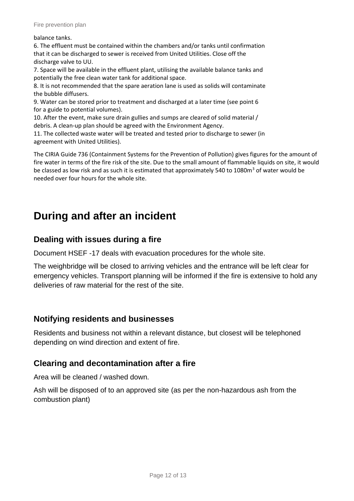balance tanks.

6. The effluent must be contained within the chambers and/or tanks until confirmation that it can be discharged to sewer is received from United Utilities. Close off the discharge valve to UU.

7. Space will be available in the effluent plant, utilising the available balance tanks and potentially the free clean water tank for additional space.

8. It is not recommended that the spare aeration lane is used as solids will contaminate the bubble diffusers.

9. Water can be stored prior to treatment and discharged at a later time (see point 6 for a guide to potential volumes).

10. After the event, make sure drain gullies and sumps are cleared of solid material / debris. A clean-up plan should be agreed with the Environment Agency.

11. The collected waste water will be treated and tested prior to discharge to sewer (in agreement with United Utilities).

The CIRIA Guide 736 (Containment Systems for the Prevention of Pollution) gives figures for the amount of fire water in terms of the fire risk of the site. Due to the small amount of flammable liquids on site, it would be classed as low risk and as such it is estimated that approximately 540 to 1080m<sup>3</sup> of water would be needed over four hours for the whole site.

# <span id="page-11-0"></span>**During and after an incident**

#### **Dealing with issues during a fire**

Document HSEF -17 deals with evacuation procedures for the whole site.

The weighbridge will be closed to arriving vehicles and the entrance will be left clear for emergency vehicles. Transport planning will be informed if the fire is extensive to hold any deliveries of raw material for the rest of the site.

#### **Notifying residents and businesses**

Residents and business not within a relevant distance, but closest will be telephoned depending on wind direction and extent of fire.

#### **Clearing and decontamination after a fire**

Area will be cleaned / washed down.

Ash will be disposed of to an approved site (as per the non-hazardous ash from the combustion plant)